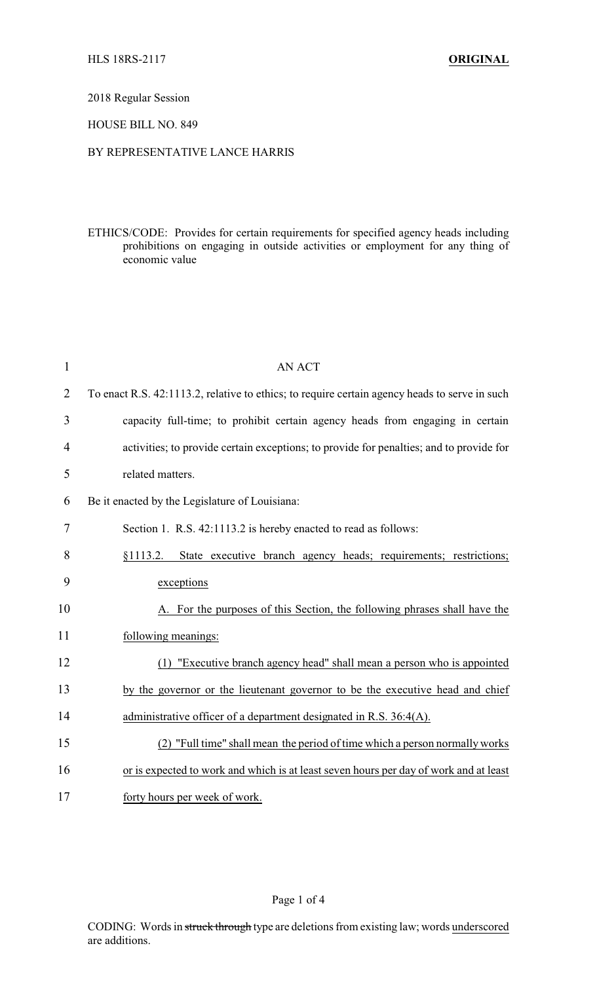## 2018 Regular Session

### HOUSE BILL NO. 849

## BY REPRESENTATIVE LANCE HARRIS

ETHICS/CODE: Provides for certain requirements for specified agency heads including prohibitions on engaging in outside activities or employment for any thing of economic value

| $\mathbf{1}$   | <b>AN ACT</b>                                                                                 |
|----------------|-----------------------------------------------------------------------------------------------|
| $\overline{2}$ | To enact R.S. 42:1113.2, relative to ethics; to require certain agency heads to serve in such |
| 3              | capacity full-time; to prohibit certain agency heads from engaging in certain                 |
| 4              | activities; to provide certain exceptions; to provide for penalties; and to provide for       |
| 5              | related matters.                                                                              |
| 6              | Be it enacted by the Legislature of Louisiana:                                                |
| 7              | Section 1. R.S. 42:1113.2 is hereby enacted to read as follows:                               |
| 8              | §1113.2. State executive branch agency heads; requirements; restrictions;                     |
| 9              | exceptions                                                                                    |
| 10             | A. For the purposes of this Section, the following phrases shall have the                     |
| 11             | following meanings:                                                                           |
| 12             | (1) "Executive branch agency head" shall mean a person who is appointed                       |
| 13             | by the governor or the lieutenant governor to be the executive head and chief                 |
| 14             | administrative officer of a department designated in R.S. 36:4(A).                            |
| 15             | (2) "Full time" shall mean the period of time which a person normally works                   |
| 16             | or is expected to work and which is at least seven hours per day of work and at least         |
| 17             | forty hours per week of work.                                                                 |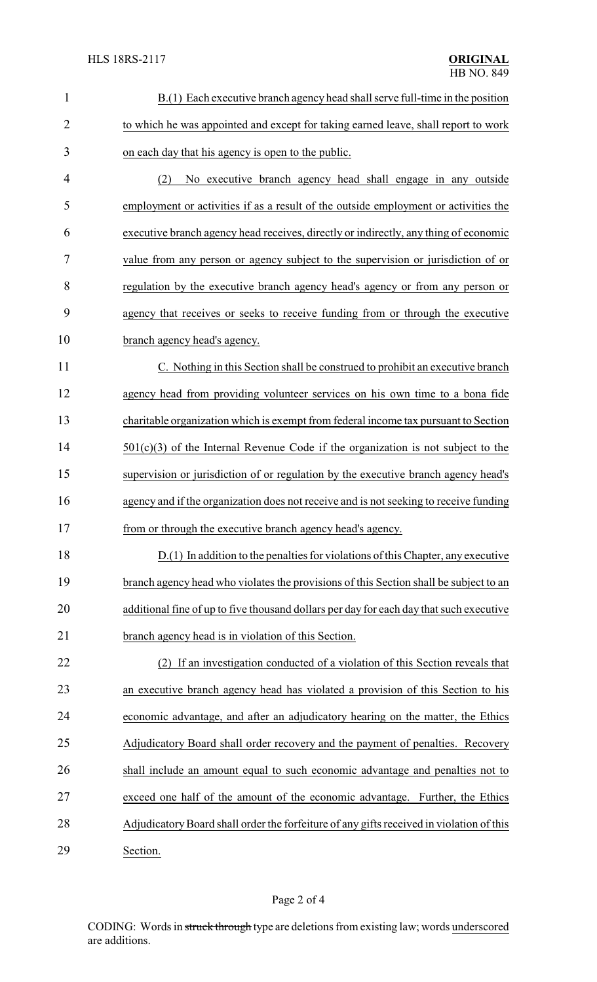| $\mathbf{1}$   | B.(1) Each executive branch agency head shall serve full-time in the position            |
|----------------|------------------------------------------------------------------------------------------|
| $\overline{2}$ | to which he was appointed and except for taking earned leave, shall report to work       |
| 3              | on each day that his agency is open to the public.                                       |
| 4              | No executive branch agency head shall engage in any outside<br>(2)                       |
| 5              | employment or activities if as a result of the outside employment or activities the      |
| 6              | executive branch agency head receives, directly or indirectly, any thing of economic     |
| 7              | value from any person or agency subject to the supervision or jurisdiction of or         |
| 8              | regulation by the executive branch agency head's agency or from any person or            |
| 9              | agency that receives or seeks to receive funding from or through the executive           |
| 10             | branch agency head's agency.                                                             |
| 11             | C. Nothing in this Section shall be construed to prohibit an executive branch            |
| 12             | agency head from providing volunteer services on his own time to a bona fide             |
| 13             | charitable organization which is exempt from federal income tax pursuant to Section      |
| 14             | $501(c)(3)$ of the Internal Revenue Code if the organization is not subject to the       |
| 15             | supervision or jurisdiction of or regulation by the executive branch agency head's       |
| 16             | agency and if the organization does not receive and is not seeking to receive funding    |
| 17             | from or through the executive branch agency head's agency.                               |
| 18             | D.(1) In addition to the penalties for violations of this Chapter, any executive         |
| 19             | branch agency head who violates the provisions of this Section shall be subject to an    |
| 20             | additional fine of up to five thousand dollars per day for each day that such executive  |
| 21             | branch agency head is in violation of this Section.                                      |
| 22             | If an investigation conducted of a violation of this Section reveals that<br>(2)         |
| 23             | an executive branch agency head has violated a provision of this Section to his          |
| 24             | economic advantage, and after an adjudicatory hearing on the matter, the Ethics          |
| 25             | Adjudicatory Board shall order recovery and the payment of penalties. Recovery           |
| 26             | shall include an amount equal to such economic advantage and penalties not to            |
| 27             | exceed one half of the amount of the economic advantage. Further, the Ethics             |
| 28             | Adjudicatory Board shall order the forfeiture of any gifts received in violation of this |
| 29             | Section.                                                                                 |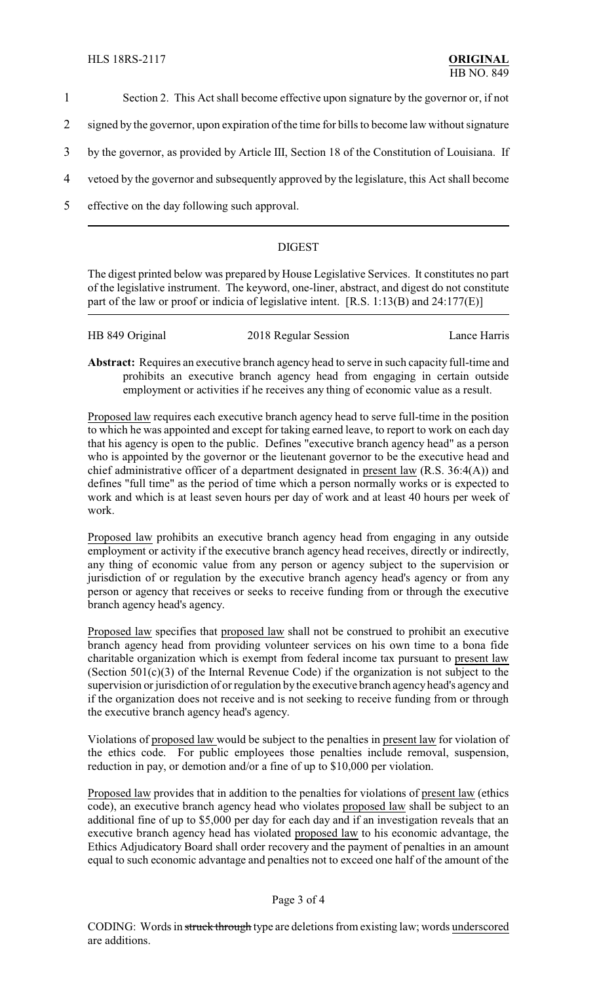- 1 Section 2. This Act shall become effective upon signature by the governor or, if not
- 2 signed by the governor, upon expiration of the time for bills to become law without signature
- 3 by the governor, as provided by Article III, Section 18 of the Constitution of Louisiana. If
- 4 vetoed by the governor and subsequently approved by the legislature, this Act shall become
- 5 effective on the day following such approval.

# DIGEST

The digest printed below was prepared by House Legislative Services. It constitutes no part of the legislative instrument. The keyword, one-liner, abstract, and digest do not constitute part of the law or proof or indicia of legislative intent. [R.S. 1:13(B) and 24:177(E)]

| HB 849 Original | 2018 Regular Session | Lance Harris |
|-----------------|----------------------|--------------|
|                 |                      |              |

**Abstract:** Requires an executive branch agency head to serve in such capacity full-time and prohibits an executive branch agency head from engaging in certain outside employment or activities if he receives any thing of economic value as a result.

Proposed law requires each executive branch agency head to serve full-time in the position to which he was appointed and except for taking earned leave, to report to work on each day that his agency is open to the public. Defines "executive branch agency head" as a person who is appointed by the governor or the lieutenant governor to be the executive head and chief administrative officer of a department designated in present law (R.S. 36:4(A)) and defines "full time" as the period of time which a person normally works or is expected to work and which is at least seven hours per day of work and at least 40 hours per week of work.

Proposed law prohibits an executive branch agency head from engaging in any outside employment or activity if the executive branch agency head receives, directly or indirectly, any thing of economic value from any person or agency subject to the supervision or jurisdiction of or regulation by the executive branch agency head's agency or from any person or agency that receives or seeks to receive funding from or through the executive branch agency head's agency.

Proposed law specifies that proposed law shall not be construed to prohibit an executive branch agency head from providing volunteer services on his own time to a bona fide charitable organization which is exempt from federal income tax pursuant to present law (Section 501(c)(3) of the Internal Revenue Code) if the organization is not subject to the supervision or jurisdiction of or regulation by the executive branch agencyhead's agency and if the organization does not receive and is not seeking to receive funding from or through the executive branch agency head's agency.

Violations of proposed law would be subject to the penalties in present law for violation of the ethics code. For public employees those penalties include removal, suspension, reduction in pay, or demotion and/or a fine of up to \$10,000 per violation.

Proposed law provides that in addition to the penalties for violations of present law (ethics code), an executive branch agency head who violates proposed law shall be subject to an additional fine of up to \$5,000 per day for each day and if an investigation reveals that an executive branch agency head has violated proposed law to his economic advantage, the Ethics Adjudicatory Board shall order recovery and the payment of penalties in an amount equal to such economic advantage and penalties not to exceed one half of the amount of the

### Page 3 of 4